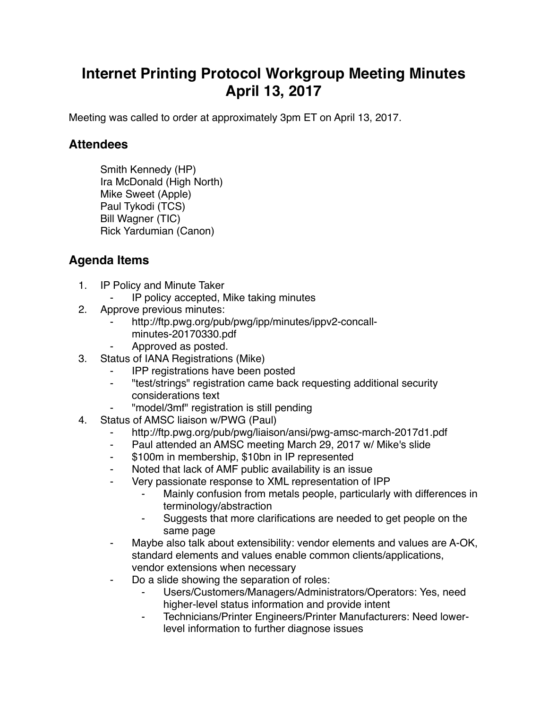## **Internet Printing Protocol Workgroup Meeting Minutes April 13, 2017**

Meeting was called to order at approximately 3pm ET on April 13, 2017.

## **Attendees**

Smith Kennedy (HP) Ira McDonald (High North) Mike Sweet (Apple) Paul Tykodi (TCS) Bill Wagner (TIC) Rick Yardumian (Canon)

## **Agenda Items**

- 1. IP Policy and Minute Taker
	- IP policy accepted, Mike taking minutes
- 2. Approve previous minutes:
	- http://ftp.pwg.org/pub/pwg/ipp/minutes/ippv2-concallminutes-20170330.pdf
	- Approved as posted.
- 3. Status of IANA Registrations (Mike)
	- ⁃ IPP registrations have been posted
	- ⁃ "test/strings" registration came back requesting additional security considerations text
	- ⁃ "model/3mf" registration is still pending
- 4. Status of AMSC liaison w/PWG (Paul)
	- ⁃ http://ftp.pwg.org/pub/pwg/liaison/ansi/pwg-amsc-march-2017d1.pdf
	- Paul attended an AMSC meeting March 29, 2017 w/ Mike's slide
	- ⁃ \$100m in membership, \$10bn in IP represented
	- ⁃ Noted that lack of AMF public availability is an issue
	- Very passionate response to XML representation of IPP
		- Mainly confusion from metals people, particularly with differences in terminology/abstraction
		- Suggests that more clarifications are needed to get people on the same page
	- Maybe also talk about extensibility: vendor elements and values are A-OK, standard elements and values enable common clients/applications, vendor extensions when necessary
	- ⁃ Do a slide showing the separation of roles:
		- Users/Customers/Managers/Administrators/Operators: Yes, need higher-level status information and provide intent
		- ⁃ Technicians/Printer Engineers/Printer Manufacturers: Need lowerlevel information to further diagnose issues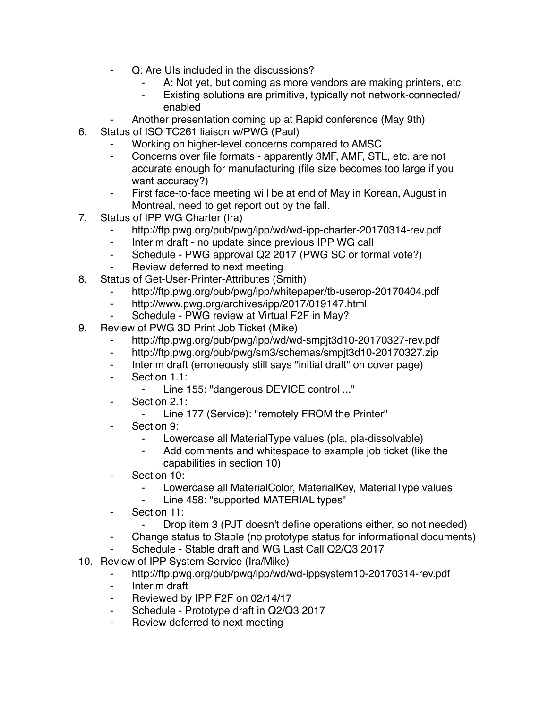- Q: Are UIs included in the discussions?
	- A: Not yet, but coming as more vendors are making printers, etc.
	- Existing solutions are primitive, typically not network-connected/ enabled
- Another presentation coming up at Rapid conference (May 9th)
- 6. Status of ISO TC261 liaison w/PWG (Paul)
	- Working on higher-level concerns compared to AMSC
	- ⁃ Concerns over file formats apparently 3MF, AMF, STL, etc. are not accurate enough for manufacturing (file size becomes too large if you want accuracy?)
	- First face-to-face meeting will be at end of May in Korean, August in Montreal, need to get report out by the fall.
- 7. Status of IPP WG Charter (Ira)
	- http://ftp.pwg.org/pub/pwg/ipp/wd/wd-ipp-charter-20170314-rev.pdf
	- ⁃ Interim draft no update since previous IPP WG call
	- ⁃ Schedule PWG approval Q2 2017 (PWG SC or formal vote?)
	- ⁃ Review deferred to next meeting
- 8. Status of Get-User-Printer-Attributes (Smith)
	- http://ftp.pwg.org/pub/pwg/ipp/whitepaper/tb-userop-20170404.pdf
	- ⁃ http://www.pwg.org/archives/ipp/2017/019147.html
	- ⁃ Schedule PWG review at Virtual F2F in May?
- 9. Review of PWG 3D Print Job Ticket (Mike)
	- ⁃ http://ftp.pwg.org/pub/pwg/ipp/wd/wd-smpjt3d10-20170327-rev.pdf
	- ⁃ http://ftp.pwg.org/pub/pwg/sm3/schemas/smpjt3d10-20170327.zip
	- ⁃ Interim draft (erroneously still says "initial draft" on cover page)
	- ⁃ Section 1.1:
		- ⁃ Line 155: "dangerous DEVICE control ..."
	- ⁃ Section 2.1:
		- ⁃ Line 177 (Service): "remotely FROM the Printer"
	- ⁃ Section 9:
		- ⁃ Lowercase all MaterialType values (pla, pla-dissolvable)
		- ⁃ Add comments and whitespace to example job ticket (like the capabilities in section 10)
	- Section 10:
		- ⁃ Lowercase all MaterialColor, MaterialKey, MaterialType values
		- Line 458: "supported MATERIAL types"
	- ⁃ Section 11:
		- ⁃ Drop item 3 (PJT doesn't define operations either, so not needed)
	- Change status to Stable (no prototype status for informational documents)
	- Schedule Stable draft and WG Last Call Q2/Q3 2017
- 10. Review of IPP System Service (Ira/Mike)
	- ⁃ http://ftp.pwg.org/pub/pwg/ipp/wd/wd-ippsystem10-20170314-rev.pdf
	- ⁃ Interim draft
	- Reviewed by IPP F2F on 02/14/17
	- ⁃ Schedule Prototype draft in Q2/Q3 2017
	- Review deferred to next meeting